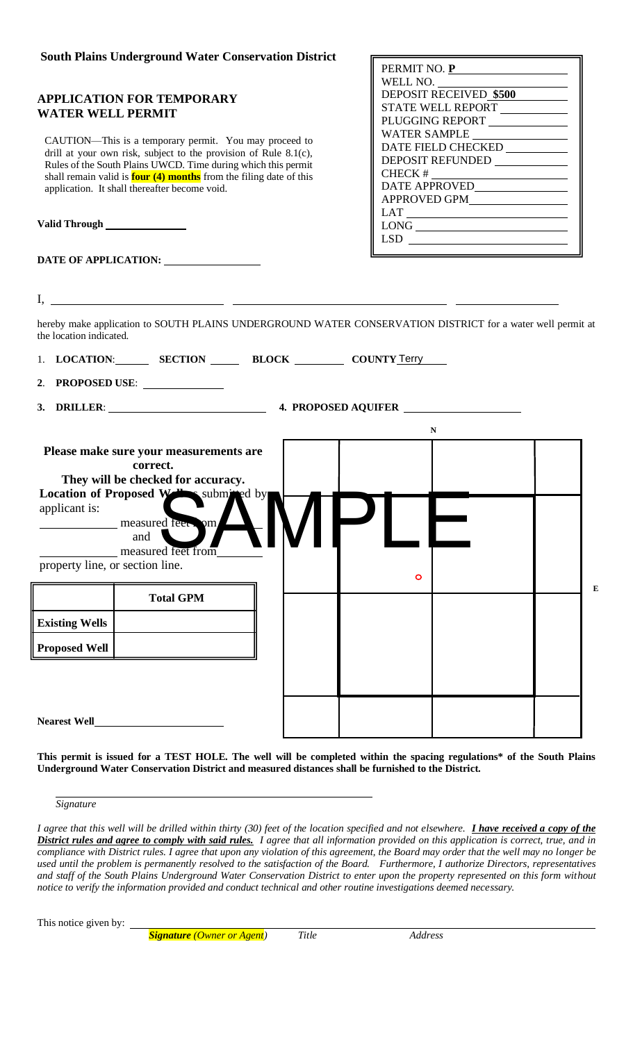# **South Plains Underground Water Conservation District**

# **APPLICATION FOR TEMPORARY WATER WELL PERMIT**

CAUTION—This is a temporary permit. You may proceed to drill at your own risk, subject to the provision of Rule 8.1(c), Rules of the South Plains UWCD. Time during which this permit shall remain valid is **four (4) months** from the filing date of this application. It shall thereafter become void.

**Valid Through** 

| DATE OF APPLICATION: |  |
|----------------------|--|
|                      |  |

| PERMIT NO. P                  |
|-------------------------------|
| WELL NO.                      |
| <b>DEPOSIT RECEIVED \$500</b> |
| <b>STATE WELL REPORT</b>      |
| PLUGGING REPORT               |
| WATER SAMPLE                  |
| DATE FIELD CHECKED            |
| <b>DEPOSIT REFUNDED</b>       |
| <b>CHECK#</b>                 |
| DATE APPROVED                 |
| <b>APPROVED GPM</b>           |
| LAT                           |
| LONG                          |
| LSD.                          |
|                               |

**E**

I,

hereby make application to SOUTH PLAINS UNDERGROUND WATER CONSERVATION DISTRICT for a water well permit at the location indicated.

| 1. LOCATION: SECTION BLOCK COUNTY Terry                                                                        |           |  |  |
|----------------------------------------------------------------------------------------------------------------|-----------|--|--|
| 2. PROPOSED USE:                                                                                               |           |  |  |
| 3. DRILLER: 1. 2000 1. 2000 1. 2000 1. 2000 1. 2000 1. 2000 1. 2000 1. 2000 1. 2000 1. 2000 1. 2000 1. 2000 1. |           |  |  |
|                                                                                                                | ${\bf N}$ |  |  |
| Please make sure your measurements are<br>correct.<br>They will be checked for accuracy.                       |           |  |  |
| Location of Proposed W Submitted by<br>applicant is:<br>measured feet om<br>and<br>measured feet from          |           |  |  |
| property line, or section line.                                                                                | $\circ$   |  |  |
| <b>Total GPM</b>                                                                                               |           |  |  |
| <b>Existing Wells</b>                                                                                          |           |  |  |
| <b>Proposed Well</b>                                                                                           |           |  |  |
|                                                                                                                |           |  |  |
|                                                                                                                |           |  |  |
| <b>Nearest Well</b><br><u> 1989 - Jan Barbara Barat, manala</u>                                                |           |  |  |

**This permit is issued for a TEST HOLE. The well will be completed within the spacing regulations\* of the South Plains Underground Water Conservation District and measured distances shall be furnished to the District.** 

*Signature*

*I agree that this well will be drilled within thirty (30) feet of the location specified and not elsewhere. I have received a copy of the District rules and agree to comply with said rules. I agree that all information provided on this application is correct, true, and in compliance with District rules. I agree that upon any violation of this agreement, the Board may order that the well may no longer be used until the problem is permanently resolved to the satisfaction of the Board. Furthermore, I authorize Directors, representatives and staff of the South Plains Underground Water Conservation District to enter upon the property represented on this form without notice to verify the information provided and conduct technical and other routine investigations deemed necessary.*

This notice given by:  $\overline{\phantom{a}}$ 

*Signature (Owner or Agent) Title Address*